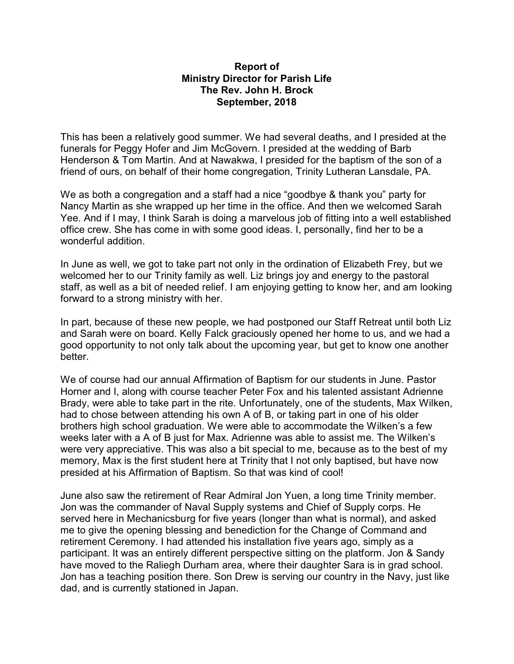## **Report of Ministry Director for Parish Life The Rev. John H. Brock September, 2018**

This has been a relatively good summer. We had several deaths, and I presided at the funerals for Peggy Hofer and Jim McGovern. I presided at the wedding of Barb Henderson & Tom Martin. And at Nawakwa, I presided for the baptism of the son of a friend of ours, on behalf of their home congregation, Trinity Lutheran Lansdale, PA.

We as both a congregation and a staff had a nice "goodbye & thank you" party for Nancy Martin as she wrapped up her time in the office. And then we welcomed Sarah Yee. And if I may, I think Sarah is doing a marvelous job of fitting into a well established office crew. She has come in with some good ideas. I, personally, find her to be a wonderful addition.

In June as well, we got to take part not only in the ordination of Elizabeth Frey, but we welcomed her to our Trinity family as well. Liz brings joy and energy to the pastoral staff, as well as a bit of needed relief. I am enjoying getting to know her, and am looking forward to a strong ministry with her.

In part, because of these new people, we had postponed our Staff Retreat until both Liz and Sarah were on board. Kelly Falck graciously opened her home to us, and we had a good opportunity to not only talk about the upcoming year, but get to know one another better.

We of course had our annual Affirmation of Baptism for our students in June. Pastor Horner and I, along with course teacher Peter Fox and his talented assistant Adrienne Brady, were able to take part in the rite. Unfortunately, one of the students, Max Wilken, had to chose between attending his own A of B, or taking part in one of his older brothers high school graduation. We were able to accommodate the Wilken's a few weeks later with a A of B just for Max. Adrienne was able to assist me. The Wilken's were very appreciative. This was also a bit special to me, because as to the best of my memory, Max is the first student here at Trinity that I not only baptised, but have now presided at his Affirmation of Baptism. So that was kind of cool!

June also saw the retirement of Rear Admiral Jon Yuen, a long time Trinity member. Jon was the commander of Naval Supply systems and Chief of Supply corps. He served here in Mechanicsburg for five years (longer than what is normal), and asked me to give the opening blessing and benediction for the Change of Command and retirement Ceremony. I had attended his installation five years ago, simply as a participant. It was an entirely different perspective sitting on the platform. Jon & Sandy have moved to the Raliegh Durham area, where their daughter Sara is in grad school. Jon has a teaching position there. Son Drew is serving our country in the Navy, just like dad, and is currently stationed in Japan.